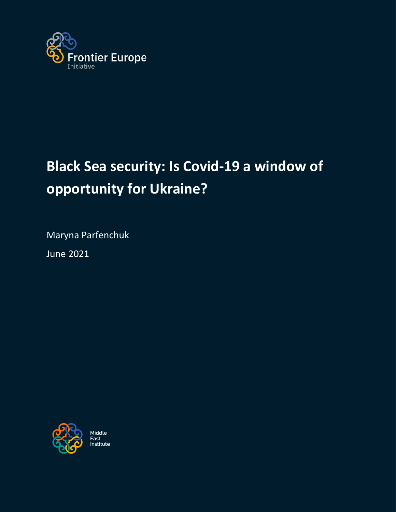

# **Black Sea security: Is Covid-19 a window of opportunity for Ukraine?**

Maryna Parfenchuk

June 2021



Middle East ∟ası<br>Institute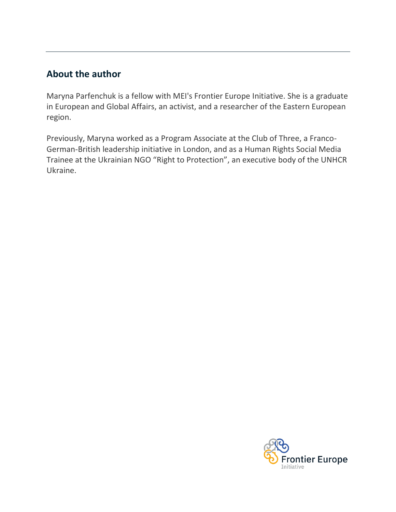# **About the author**

Maryna Parfenchuk is a fellow with MEI's Frontier Europe Initiative. She is a graduate in European and Global Affairs, an activist, and a researcher of the Eastern European region.

Previously, Maryna worked as a Program Associate at the Club of Three, a Franco-German-British leadership initiative in London, and as a Human Rights Social Media Trainee at the Ukrainian NGO "Right to Protection", an executive body of the UNHCR Ukraine.

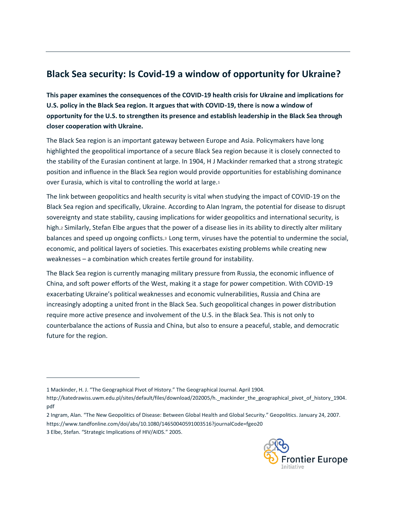# **Black Sea security: Is Covid-19 a window of opportunity for Ukraine?**

**This paper examines the consequences of the COVID-19 health crisis for Ukraine and implications for U.S. policy in the Black Sea region. It argues that with COVID-19, there is now a window of opportunity for the U.S. to strengthen its presence and establish leadership in the Black Sea through closer cooperation with Ukraine.**

The Black Sea region is an important gateway between Europe and Asia. Policymakers have long highlighted the geopolitical importance of a secure Black Sea region because it is closely connected to the stability of the Eurasian continent at large. In 1904, H J Mackinder remarked that a strong strategic position and influence in the Black Sea region would provide opportunities for establishing dominance over Eurasia, which is vital to controlling the world at large.<sup>1</sup>

The link between geopolitics and health security is vital when studying the impact of COVID-19 on the Black Sea region and specifically, Ukraine. According to Alan Ingram, the potential for disease to disrupt sovereignty and state stability, causing implications for wider geopolitics and international security, is high.<sup>2</sup> Similarly, Stefan Elbe argues that the power of a disease lies in its ability to directly alter military balances and speed up ongoing conflicts.<sup>3</sup> Long term, viruses have the potential to undermine the social, economic, and political layers of societies. This exacerbates existing problems while creating new weaknesses – a combination which creates fertile ground for instability.

The Black Sea region is currently managing military pressure from Russia, the economic influence of China, and soft power efforts of the West, making it a stage for power competition. With COVID-19 exacerbating Ukraine's political weaknesses and economic vulnerabilities, Russia and China are increasingly adopting a united front in the Black Sea. Such geopolitical changes in power distribution require more active presence and involvement of the U.S. in the Black Sea. This is not only to counterbalance the actions of Russia and China, but also to ensure a peaceful, stable, and democratic future for the region.



<sup>1</sup> Mackinder, H. J. "The Geographical Pivot of History." The Geographical Journal. April 1904.

[http://katedrawiss.uwm.edu.pl/sites/default/files/download/202005/h.\\_mackinder\\_the\\_geographical\\_pivot\\_of\\_history\\_1904.](http://katedrawiss.uwm.edu.pl/sites/default/files/download/202005/h._mackinder_the_geographical_pivot_of_history_1904.pdf) [pdf](http://katedrawiss.uwm.edu.pl/sites/default/files/download/202005/h._mackinder_the_geographical_pivot_of_history_1904.pdf)

<sup>2</sup> Ingram, Alan. "The New Geopolitics of Disease: Between Global Health and Global Security." Geopolitics. January 24, 2007. <https://www.tandfonline.com/doi/abs/10.1080/14650040591003516?journalCode=fgeo20>

<sup>3</sup> Elbe, Stefan. "Strategic Implications of HIV/AIDS." 2005.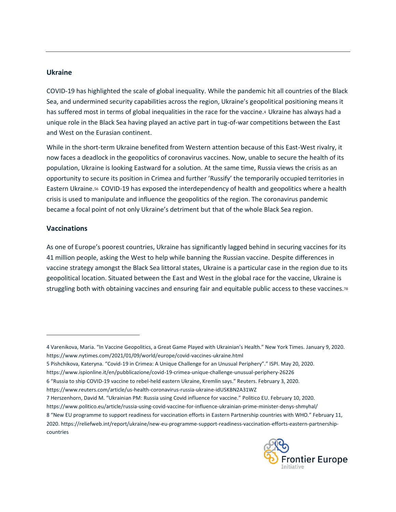#### **Ukraine**

COVID-19 has highlighted the scale of global inequality. While the pandemic hit all countries of the Black Sea, and undermined security capabilities across the region, Ukraine's geopolitical positioning means it has suffered most in terms of global inequalities in the race for the vaccine.<sup>4</sup> Ukraine has always had a unique role in the Black Sea having played an active part in tug-of-war competitions between the East and West on the Eurasian continent.

While in the short-term Ukraine benefited from Western attention because of this East-West rivalry, it now faces a deadlock in the geopolitics of coronavirus vaccines. Now, unable to secure the health of its population, Ukraine is looking Eastward for a solution. At the same time, Russia views the crisis as an opportunity to secure its position in Crimea and further 'Russify' the temporarily occupied territories in Eastern Ukraine.<sup>56</sup> COVID-19 has exposed the interdependency of health and geopolitics where a health crisis is used to manipulate and influence the geopolitics of the region. The coronavirus pandemic became a focal point of not only Ukraine's detriment but that of the whole Black Sea region.

#### **Vaccinations**

As one of Europe's poorest countries, Ukraine has significantly lagged behind in securing vaccines for its 41 million people, asking the West to help while banning the Russian vaccine. Despite differences in vaccine strategy amongst the Black Sea littoral states, Ukraine is a particular case in the region due to its geopolitical location. Situated between the East and West in the global race for the vaccine, Ukraine is struggling both with obtaining vaccines and ensuring fair and equitable public access to these vaccines.<sup>78</sup>

- 5 Pishchikova, Kateryna. "Covid-19 in Crimea: A Unique Challenge for an Unusual Periphery"." ISPI. May 20, 2020.
- <https://www.ispionline.it/en/pubblicazione/covid-19-crimea-unique-challenge-unusual-periphery-26226>

<https://www.reuters.com/article/us-health-coronavirus-russia-ukraine-idUSKBN2A31WZ>

- 7 Herszenhorn, David M. "Ukrainian PM: Russia using Covid influence for vaccine." Politico EU. February 10, 2020.
- <https://www.politico.eu/article/russia-using-covid-vaccine-for-influence-ukrainian-prime-minister-denys-shmyhal/>

8 "New EU programme to support readiness for vaccination efforts in Eastern Partnership countries with WHO." February 11, 2020[. https://reliefweb.int/report/ukraine/new-eu-programme-support-readiness-vaccination-efforts-eastern-partnership](https://reliefweb.int/report/ukraine/new-eu-programme-support-readiness-vaccination-efforts-eastern-partnership-countries)[countries](https://reliefweb.int/report/ukraine/new-eu-programme-support-readiness-vaccination-efforts-eastern-partnership-countries)



<sup>4</sup> Varenikova, Maria. "In Vaccine Geopolitics, a Great Game Played with Ukrainian's Health." New York Times. January 9, 2020. <https://www.nytimes.com/2021/01/09/world/europe/covid-vaccines-ukraine.html>

<sup>6</sup> "Russia to ship COVID-19 vaccine to rebel-held eastern Ukraine, Kremlin says." Reuters. February 3, 2020.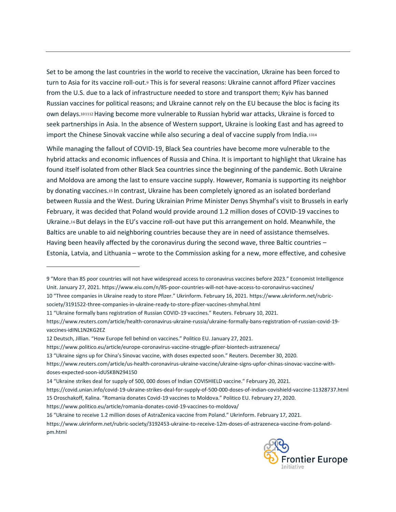Set to be among the last countries in the world to receive the vaccination, Ukraine has been forced to turn to Asia for its vaccine roll-out.<sup>9</sup> This is for several reasons: Ukraine cannot afford Pfizer vaccines from the U.S. due to a lack of infrastructure needed to store and transport them; Kyiv has banned Russian vaccines for political reasons; and Ukraine cannot rely on the EU because the bloc is facing its own delays.101112Having become more vulnerable to Russian hybrid war attacks, Ukraine is forced to seek partnerships in Asia. In the absence of Western support, Ukraine is looking East and has agreed to import the Chinese Sinovak vaccine while also securing a deal of vaccine supply from India.<sup>1314</sup>

While managing the fallout of COVID-19, Black Sea countries have become more vulnerable to the hybrid attacks and economic influences of Russia and China. It is important to highlight that Ukraine has found itself isolated from other Black Sea countries since the beginning of the pandemic. Both Ukraine and Moldova are among the last to ensure vaccine supply. However, Romania is supporting its neighbor by donating vaccines.<sup>15</sup> In contrast, Ukraine has been completely ignored as an isolated borderland between Russia and the West. During Ukrainian Prime Minister Denys Shymhal's visit to Brussels in early February, it was decided that Poland would provide around 1.2 million doses of COVID-19 vaccines to Ukraine.<sup>16</sup> But delays in the EU's vaccine roll-out have put this arrangement on hold. Meanwhile, the Baltics are unable to aid neighboring countries because they are in need of assistance themselves. Having been heavily affected by the coronavirus during the second wave, three Baltic countries – Estonia, Latvia, and Lithuania – wrote to the Commission asking for a new, more effective, and cohesive

[society/3191522-three-companies-in-ukraine-ready-to-store-pfizer-vaccines-shmyhal.html](https://www.ukrinform.net/rubric-society/3191522-three-companies-in-ukraine-ready-to-store-pfizer-vaccines-shmyhal.html)

<https://www.politico.eu/article/europe-coronavirus-vaccine-struggle-pfizer-biontech-astrazeneca/>

- <https://covid.unian.info/covid-19-ukraine-strikes-deal-for-supply-of-500-000-doses-of-indian-covishield-vaccine-11328737.html> 15 Oroschakoff, Kalina. "Romania donates Covid-19 vaccines to Moldova." Politico EU. February 27, 2020.
- <https://www.politico.eu/article/romania-donates-covid-19-vaccines-to-moldova/>

16 "Ukraine to receive 1.2 million doses of AstraZenica vaccine from Poland." Ukrinform. February 17, 2021.

[https://www.ukrinform.net/rubric-society/3192453-ukraine-to-receive-12m-doses-of-astrazeneca-vaccine-from-poland](https://www.ukrinform.net/rubric-society/3192453-ukraine-to-receive-12m-doses-of-astrazeneca-vaccine-from-poland-pm.html)[pm.html](https://www.ukrinform.net/rubric-society/3192453-ukraine-to-receive-12m-doses-of-astrazeneca-vaccine-from-poland-pm.html)



<sup>9</sup> "More than 85 poor countries will not have widespread access to coronavirus vaccines before 2023." Economist Intelligence Unit. January 27, 2021.<https://www.eiu.com/n/85-poor-countries-will-not-have-access-to-coronavirus-vaccines/> 10 "Three companies in Ukraine ready to store Pfizer." Ukrinform. February 16, 2021. [https://www.ukrinform.net/rubric-](https://www.ukrinform.net/rubric-society/3191522-three-companies-in-ukraine-ready-to-store-pfizer-vaccines-shmyhal.html)

<sup>11</sup> "Ukraine formally bans registration of Russian COVID-19 vaccines." Reuters. February 10, 2021.

[https://www.reuters.com/article/health-coronavirus-ukraine-russia/ukraine-formally-bans-registration-of-russian-covid-19](https://www.reuters.com/article/health-coronavirus-ukraine-russia/ukraine-formally-bans-registration-of-russian-covid-19-vaccines-idINL1N2KG2EZ) [vaccines-idINL1N2KG2EZ](https://www.reuters.com/article/health-coronavirus-ukraine-russia/ukraine-formally-bans-registration-of-russian-covid-19-vaccines-idINL1N2KG2EZ)

<sup>12</sup> Deutsch, Jillian. "How Europe fell behind on vaccines." Politico EU. January 27, 2021.

<sup>13</sup> "Ukraine signs up for China's Sinovac vaccine, with doses expected soon." Reuters. December 30, 2020.

[https://www.reuters.com/article/us-health-coronavirus-ukraine-vaccine/ukraine-signs-upfor-chinas-sinovac-vaccine-with](https://www.reuters.com/article/us-health-coronavirus-ukraine-vaccine/ukraine-signs-upfor-chinas-sinovac-vaccine-with-doses-expected-soon-idUSKBN294150)[doses-expected-soon-idUSKBN294150](https://www.reuters.com/article/us-health-coronavirus-ukraine-vaccine/ukraine-signs-upfor-chinas-sinovac-vaccine-with-doses-expected-soon-idUSKBN294150)

<sup>14</sup> "Ukraine strikes deal for supply of 500, 000 doses of Indian COVISHIELD vaccine." February 20, 2021.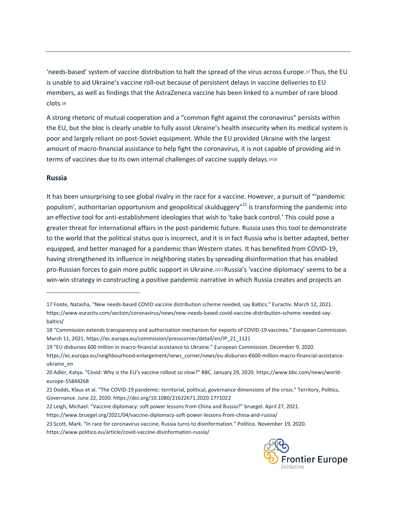'needs-based' system of vaccine distribution to halt the spread of the virus across Europe.<sup>17</sup> Thus, the EU is unable to aid Ukraine's vaccine roll-out because of persistent delays in vaccine deliveries to EU members, as well as findings that the AstraZeneca vaccine has been linked to a number of rare blood clots.<sup>18</sup>

A strong rhetoric of mutual cooperation and a "common fight against the coronavirus" persists within the EU, but the bloc is clearly unable to fully assist Ukraine's health insecurity when its medical system is poor and largely reliant on post-Soviet equipment. While the EU provided Ukraine with the largest amount of macro-financial assistance to help fight the coronavirus, it is not capable of providing aid in terms of vaccines due to its own internal challenges of vaccine supply delays.<sup>1920</sup>

#### **Russia**

It has been unsurprising to see global rivalry in the race for a vaccine. However, a pursuit of "'pandemic populism', authoritarian opportunism and geopolitical skulduggery<sup>"21</sup> is transforming the pandemic into an effective tool for anti-establishment ideologies that wish to 'take back control.' This could pose a greater threat for international affairs in the post-pandemic future. Russia uses this tool to demonstrate to the world that the political status quo is incorrect, and it is in fact Russia who is better adapted, better equipped, and better managed for a pandemic than Western states. It has benefited from COVID-19, having strengthened its influence in neighboring states by spreading disinformation that has enabled pro-Russian forces to gain more public support in Ukraine.<sup>2223</sup> Russia's 'vaccine diplomacy' seems to be a win-win strategy in constructing a positive pandemic narrative in which Russia creates and projects an



<sup>17</sup> Foote, Natasha, "New needs-based COVID vaccine distribution scheme needed, say Baltics." Euractiv. March 12, 2021. [https://www.euractiv.com/section/coronavirus/news/new-needs-based-covid-vaccine-distribution-scheme-needed-say](https://www.euractiv.com/section/coronavirus/news/new-needs-based-covid-vaccine-distribution-scheme-needed-say-baltics/)[baltics/](https://www.euractiv.com/section/coronavirus/news/new-needs-based-covid-vaccine-distribution-scheme-needed-say-baltics/)

<sup>18</sup> "Commission extends transparency and authorization mechanism for exports of COVID-19 vaccines." European Commission. March 11, 2021[. https://ec.europa.eu/commission/presscorner/detail/en/IP\\_21\\_1121](https://ec.europa.eu/commission/presscorner/detail/en/IP_21_1121)

<sup>19</sup> "EU disburses 600 million in macro-financial assistance to Ukraine." European Commission. December 9, 2020.

[https://ec.europa.eu/neighbourhood-enlargement/news\\_corner/news/eu-disburses-](https://ec.europa.eu/neighbourhood-enlargement/news_corner/news/eu-disburses-€600-million-macro-financial-assistance-ukraine_en)€600-million-macro-financial-assistance[ukraine\\_en](https://ec.europa.eu/neighbourhood-enlargement/news_corner/news/eu-disburses-€600-million-macro-financial-assistance-ukraine_en)

<sup>20</sup> Adler, Katya. "Covid: Why is the EU's vaccine rollout so slow?" BBC. January 29, 2020. [https://www.bbc.com/news/world](https://www.bbc.com/news/world-europe-55844268)[europe-55844268](https://www.bbc.com/news/world-europe-55844268)

<sup>21</sup> Dodds, Klaus et al. "The COVID-19 pandemic: territorial, political, governance dimensions of the crisis." Territory, Politics, Governance. June 22, 2020. https://doi.org/10.1080/21622671.2020.1771022

<sup>22</sup> Leigh, Michael. "Vaccine diplomacy: soft power lessons from China and Russia?" bruegel. April 27, 2021.

<https://www.bruegel.org/2021/04/vaccine-diplomacy-soft-power-lessons-from-china-and-russia/>

<sup>23</sup> Scott, Mark. "In race for coronavirus vaccine, Russia turns to disinformation." Politico. November 19, 2020.

<https://www.politico.eu/article/covid-vaccine-disinformation-russia/>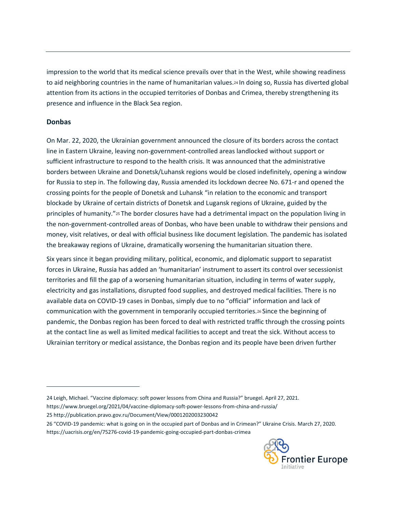impression to the world that its medical science prevails over that in the West, while showing readiness to aid neighboring countries in the name of humanitarian values.<sup>24</sup> In doing so, Russia has diverted global attention from its actions in the occupied territories of Donbas and Crimea, thereby strengthening its presence and influence in the Black Sea region.

# **Donbas**

On Mar. 22, 2020, the Ukrainian government announced the closure of its borders across the contact line in Eastern Ukraine, leaving non-government-controlled areas landlocked without support or sufficient infrastructure to respond to the health crisis. It was announced that the administrative borders between Ukraine and Donetsk/Luhansk regions would be closed indefinitely, opening a window for Russia to step in. The following day, Russia amended its lockdown decree No. 671-r and opened the crossing points for the people of Donetsk and Luhansk "in relation to the economic and transport blockade by Ukraine of certain districts of Donetsk and Lugansk regions of Ukraine, guided by the principles of humanity."<sup>25</sup> The border closures have had a detrimental impact on the population living in the non-government-controlled areas of Donbas, who have been unable to withdraw their pensions and money, visit relatives, or deal with official business like document legislation. The pandemic has isolated the breakaway regions of Ukraine, dramatically worsening the humanitarian situation there.

Six years since it began providing military, political, economic, and diplomatic support to separatist forces in Ukraine, Russia has added an 'humanitarian' instrument to assert its control over secessionist territories and fill the gap of a worsening humanitarian situation, including in terms of water supply, electricity and gas installations, disrupted food supplies, and destroyed medical facilities. There is no available data on COVID-19 cases in Donbas, simply due to no "official" information and lack of communication with the government in temporarily occupied territories.<sup>26</sup> Since the beginning of pandemic, the Donbas region has been forced to deal with restricted traffic through the crossing points at the contact line as well as limited medical facilities to accept and treat the sick. Without access to Ukrainian territory or medical assistance, the Donbas region and its people have been driven further

- 24 Leigh, Michael. "Vaccine diplomacy: soft power lessons from China and Russia?" bruegel. April 27, 2021.
- <https://www.bruegel.org/2021/04/vaccine-diplomacy-soft-power-lessons-from-china-and-russia/>
- 25 <http://publication.pravo.gov.ru/Document/View/0001202003230042>
- 26 "COVID-19 pandemic: what is going on in the occupied part of Donbas and in Crimean?" Ukraine Crisis. March 27, 2020. <https://uacrisis.org/en/75276-covid-19-pandemic-going-occupied-part-donbas-crimea>

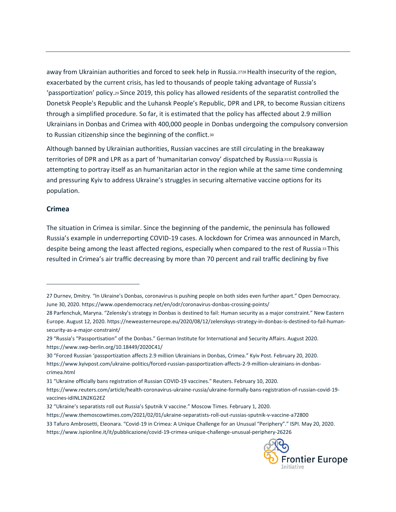away from Ukrainian authorities and forced to seek help in Russia.<sup>2728</sup> Health insecurity of the region, exacerbated by the current crisis, has led to thousands of people taking advantage of Russia's 'passportization' policy.<sup>29</sup> Since 2019, this policy has allowed residents of the separatist controlled the Donetsk People's Republic and the Luhansk People's Republic, DPR and LPR, to become Russian citizens through a simplified procedure. So far, it is estimated that the policy has affected about 2.9 million Ukrainians in Donbas and Crimea with 400,000 people in Donbas undergoing the compulsory conversion to Russian citizenship since the beginning of the conflict.<sup>30</sup>

Although banned by Ukrainian authorities, Russian vaccines are still circulating in the breakaway territories of DPR and LPR as a part of 'humanitarian convoy' dispatched by Russia.3132 Russia is attempting to portray itself as an humanitarian actor in the region while at the same time condemning and pressuring Kyiv to address Ukraine's struggles in securing alternative vaccine options for its population.

#### **Crimea**

The situation in Crimea is similar. Since the beginning of the pandemic, the peninsula has followed Russia's example in underreporting COVID-19 cases. A lockdown for Crimea was announced in March, despite being among the least affected regions, especially when compared to the rest of Russia.33 This resulted in Crimea's air traffic decreasing by more than 70 percent and rail traffic declining by five

31 "Ukraine officially bans registration of Russian COVID-19 vaccines." Reuters. February 10, 2020.

<sup>33</sup> Tafuro Ambrosetti, Eleonara. "Covid-19 in Crimea: A Unique Challenge for an Unusual "Periphery"." ISPI. May 20, 2020. <https://www.ispionline.it/it/pubblicazione/covid-19-crimea-unique-challenge-unusual-periphery-26226>



<sup>27</sup> Durnev, Dmitry. "In Ukraine's Donbas, coronavirus is pushing people on both sides even further apart." Open Democracy. June 30, 2020.<https://www.opendemocracy.net/en/odr/coronavirus-donbas-crossing-points/>

<sup>28</sup> Parfenchuk, Maryna. "Zelensky's strategy in Donbas is destined to fail: Human security as a major constraint." New Eastern Europe. August 12, 2020. [https://neweasterneurope.eu/2020/08/12/zelenskyys-strategy-in-donbas-is-destined-to-fail-human](https://neweasterneurope.eu/2020/08/12/zelenskyys-strategy-in-donbas-is-destined-to-fail-human-security-as-a-major-constraint/)[security-as-a-major-constraint/](https://neweasterneurope.eu/2020/08/12/zelenskyys-strategy-in-donbas-is-destined-to-fail-human-security-as-a-major-constraint/)

<sup>29</sup> "Russia's "Passportisation" of the Donbas." German Institute for International and Security Affairs. August 2020. https://www.swp-berlin.org/10.18449/2020C41/

<sup>30</sup> "Forced Russian 'passportization affects 2.9 million Ukrainians in Donbas, Crimea." Kyiv Post. February 20, 2020. [https://www.kyivpost.com/ukraine-politics/forced-russian-passportization-affects-2-9-million-ukrainians-in-donbas](https://www.kyivpost.com/ukraine-politics/forced-russian-passportization-affects-2-9-million-ukrainians-in-donbas-crimea.html)[crimea.html](https://www.kyivpost.com/ukraine-politics/forced-russian-passportization-affects-2-9-million-ukrainians-in-donbas-crimea.html)

[https://www.reuters.com/article/health-coronavirus-ukraine-russia/ukraine-formally-bans-registration-of-russian-covid-19](https://www.reuters.com/article/health-coronavirus-ukraine-russia/ukraine-formally-bans-registration-of-russian-covid-19-vaccines-idINL1N2KG2EZ) [vaccines-idINL1N2KG2EZ](https://www.reuters.com/article/health-coronavirus-ukraine-russia/ukraine-formally-bans-registration-of-russian-covid-19-vaccines-idINL1N2KG2EZ)

<sup>32</sup> "Ukraine's separatists roll out Russia's Sputnik V vaccine." Moscow Times. February 1, 2020.

<https://www.themoscowtimes.com/2021/02/01/ukraine-separatists-roll-out-russias-sputnik-v-vaccine-a72800>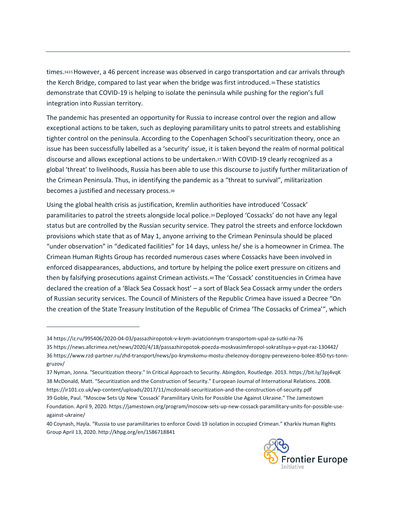times.3435However, a 46 percent increase was observed in cargo transportation and car arrivals through the Kerch Bridge, compared to last year when the bridge was first introduced.<sup>36</sup> These statistics demonstrate that COVID-19 is helping to isolate the peninsula while pushing for the region's full integration into Russian territory.

The pandemic has presented an opportunity for Russia to increase control over the region and allow exceptional actions to be taken, such as deploying paramilitary units to patrol streets and establishing tighter control on the peninsula. According to the Copenhagen School's securitization theory, once an issue has been successfully labelled as a 'security' issue, it is taken beyond the realm of normal political discourse and allows exceptional actions to be undertaken.37With COVID-19 clearly recognized as a global 'threat' to livelihoods, Russia has been able to use this discourse to justify further militarization of the Crimean Peninsula. Thus, in identifying the pandemic as a "threat to survival", militarization becomes a justified and necessary process.<sup>38</sup>

Using the global health crisis as justification, Kremlin authorities have introduced 'Cossack' paramilitaries to patrol the streets alongside local police.39Deployed 'Cossacks' do not have any legal status but are controlled by the Russian security service. They patrol the streets and enforce lockdown provisions which state that as of May 1, anyone arriving to the Crimean Peninsula should be placed "under observation" in "dedicated facilities" for 14 days, unless he/ she is a homeowner in Crimea. The Crimean Human Rights Group has recorded numerous cases where Cossacks have been involved in enforced disappearances, abductions, and torture by helping the police exert pressure on citizens and then by falsifying prosecutions against Crimean activists.<sup>40</sup> The 'Cossack' constituencies in Crimea have declared the creation of a 'Black Sea Cossack host' – a sort of Black Sea Cossack army under the orders of Russian security services. The Council of Ministers of the Republic Crimea have issued a Decree "On the creation of the State Treasury Institution of the Republic of Crimea 'The Cossacks of Crimea'", which

39 Goble, Paul. "Moscow Sets Up New 'Cossack' Paramilitary Units for Possible Use Against Ukraine." The Jamestown

<sup>40</sup> Coynash, Hayla. "Russia to use paramilitaries to enforce Covid-19 isolation in occupied Crimean." Kharkiv Human Rights Group April 13, 2020.<http://khpg.org/en/1586718841>



<sup>34</sup> <https://iz.ru/995406/2020-04-03/passazhiropotok-v-krym-aviatcionnym-transportom-upal-za-sutki-na-76> 35 <https://news.allcrimea.net/news/2020/4/18/passazhiropotok-poezda-moskvasimferopol-sokratilsya-v-pyat-raz-130442/> 36 [https://www.rzd-partner.ru/zhd-transport/news/po-krymskomu-mostu-zheleznoy-dorogoy-perevezeno-bolee-850-tys-tonn](https://www.rzd-partner.ru/zhd-transport/news/po-krymskomu-mostu-zheleznoy-dorogoy-perevezeno-bolee-850-tys-tonn-gruzov/)[gruzov/](https://www.rzd-partner.ru/zhd-transport/news/po-krymskomu-mostu-zheleznoy-dorogoy-perevezeno-bolee-850-tys-tonn-gruzov/)

<sup>37</sup> Nyman, Jonna. "Securitization theory." In Critical Approach to Security. Abingdon, Routledge. 2013.<https://bit.ly/3pj4vqK> 38 McDonald, Matt. "Securitization and the Construction of Security." European Journal of International Relations. 2008. <https://ir101.co.uk/wp-content/uploads/2017/11/mcdonald-securitization-and-the-construction-of-security.pdf>

Foundation. April 9, 2020. [https://jamestown.org/program/moscow-sets-up-new-cossack-paramilitary-units-for-possible-use](https://jamestown.org/program/moscow-sets-up-new-cossack-paramilitary-units-for-possible-use-against-ukraine/)[against-ukraine/](https://jamestown.org/program/moscow-sets-up-new-cossack-paramilitary-units-for-possible-use-against-ukraine/)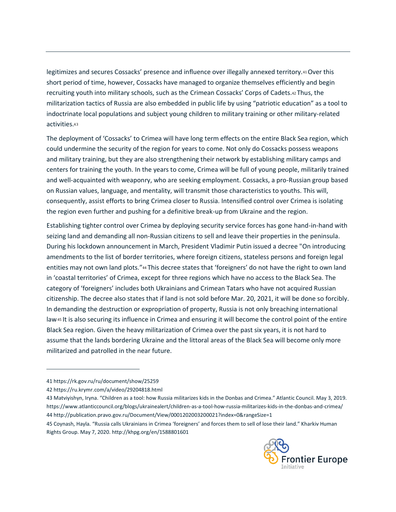legitimizes and secures Cossacks' presence and influence over illegally annexed territory.41 Over this short period of time, however, Cossacks have managed to organize themselves efficiently and begin recruiting youth into military schools, such as the Crimean Cossacks' Сorps of Cadets.<sup>42</sup> Thus, the militarization tactics of Russia are also embedded in public life by using "patriotic education" as a tool to indoctrinate local populations and subject young children to military training or other military-related activities.<sup>43</sup>

The deployment of 'Cossacks' to Crimea will have long term effects on the entire Black Sea region, which could undermine the security of the region for years to come. Not only do Cossacks possess weapons and military training, but they are also strengthening their network by establishing military camps and centers for training the youth. In the years to come, Crimea will be full of young people, militarily trained and well-acquainted with weaponry, who are seeking employment. Cossacks, a pro-Russian group based on Russian values, language, and mentality, will transmit those characteristics to youths. This will, consequently, assist efforts to bring Crimea closer to Russia. Intensified control over Crimea is isolating the region even further and pushing for a definitive break-up from Ukraine and the region.

Establishing tighter control over Crimea by deploying security service forces has gone hand-in-hand with seizing land and demanding all non-Russian citizens to sell and leave their properties in the peninsula. During his lockdown announcement in March, President Vladimir Putin issued a decree "On introducing amendments to the list of border territories, where foreign citizens, stateless persons and foreign legal entities may not own land plots."<sup>44</sup> This decree states that 'foreigners' do not have the right to own land in 'coastal territories' of Crimea, except for three regions which have no access to the Black Sea. The category of 'foreigners' includes both Ukrainians and Crimean Tatars who have not acquired Russian citizenship. The decree also states that if land is not sold before Mar. 20, 2021, it will be done so forcibly. In demanding the destruction or expropriation of property, Russia is not only breaching international law.45 It is also securing its influence in Crimea and ensuring it will become the control point of the entire Black Sea region. Given the heavy militarization of Crimea over the past six years, it is not hard to assume that the lands bordering Ukraine and the littoral areas of the Black Sea will become only more militarized and patrolled in the near future.

<sup>45</sup> Coynash, Hayla. "Russia calls Ukrainians in Crimea 'foreigners' and forces them to sell of lose their land." Kharkiv Human Rights Group. May 7, 2020.<http://khpg.org/en/1588801601>



<sup>41</sup> <https://rk.gov.ru/ru/document/show/25259>

<sup>42</sup> <https://ru.krymr.com/a/video/29204818.html>

<sup>43</sup> Matviyishyn, Iryna. "Children as a tool: how Russia militarizes kids in the Donbas and Crimea." Atlantic Council. May 3, 2019. <https://www.atlanticcouncil.org/blogs/ukrainealert/children-as-a-tool-how-russia-militarizes-kids-in-the-donbas-and-crimea/> 44 <http://publication.pravo.gov.ru/Document/View/0001202003200021?index=0&rangeSize=1>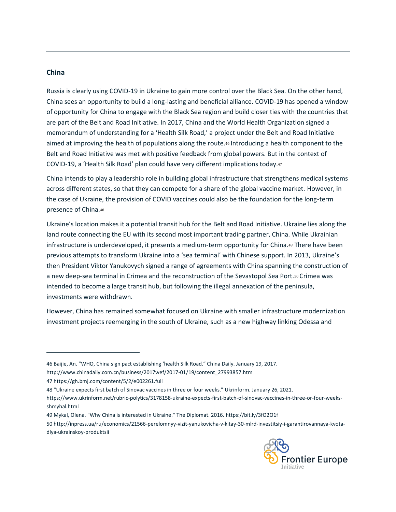### **China**

Russia is clearly using COVID-19 in Ukraine to gain more control over the Black Sea. On the other hand, China sees an opportunity to build a long-lasting and beneficial alliance. COVID-19 has opened a window of opportunity for China to engage with the Black Sea region and build closer ties with the countries that are part of the Belt and Road Initiative. In 2017, China and the World Health Organization signed a memorandum of understanding for a 'Health Silk Road,' a project under the Belt and Road Initiative aimed at improving the health of populations along the route.<sup>46</sup> Introducing a health component to the Belt and Road Initiative was met with positive feedback from global powers. But in the context of COVID-19, a 'Health Silk Road' plan could have very different implications today.<sup>47</sup>

China intends to play a leadership role in building global infrastructure that strengthens medical systems across different states, so that they can compete for a share of the global vaccine market. However, in the case of Ukraine, the provision of COVID vaccines could also be the foundation for the long-term presence of China.<sup>48</sup>

Ukraine's location makes it a potential transit hub for the Belt and Road Initiative. Ukraine lies along the land route connecting the EU with its second most important trading partner, China. While Ukrainian infrastructure is underdeveloped, it presents a medium-term opportunity for China.49 There have been previous attempts to transform Ukraine into a 'sea terminal' with Chinese support. In 2013, Ukraine's then President Viktor Yanukovych signed a range of agreements with China spanning the construction of a new deep-sea terminal in Crimea and the reconstruction of the Sevastopol Sea Port.<sup>50</sup> Crimea was intended to become a large transit hub, but following the illegal annexation of the peninsula, investments were withdrawn.

However, China has remained somewhat focused on Ukraine with smaller infrastructure modernization investment projects reemerging in the south of Ukraine, such as a new highway linking Odessa and

[http://www.chinadaily.com.cn/business/2017wef/2017-01/19/content\\_27993857.htm](http://www.chinadaily.com.cn/business/2017wef/2017-01/19/content_27993857.htm) 

<sup>50</sup> [http://inpress.ua/ru/economics/21566-perelomnyy-vizit-yanukovicha-v-kitay-30-mlrd-investitsiy-i-garantirovannaya-kvota](http://inpress.ua/ru/economics/21566-perelomnyy-vizit-yanukovicha-v-kitay-30-mlrd-investitsiy-i-garantirovannaya-kvota-dlya-ukrainskoy-produktsii)[dlya-ukrainskoy-produktsii](http://inpress.ua/ru/economics/21566-perelomnyy-vizit-yanukovicha-v-kitay-30-mlrd-investitsiy-i-garantirovannaya-kvota-dlya-ukrainskoy-produktsii)



<sup>46</sup> Baijie, An. "WHO, China sign pact establishing 'health Silk Road." China Daily. January 19, 2017.

<sup>47</sup> <https://gh.bmj.com/content/5/2/e002261.full>

<sup>48</sup> "Ukraine expects first batch of Sinovac vaccines in three or four weeks." Ukrinform. January 26, 2021.

[https://www.ukrinform.net/rubric-polytics/3178158-ukraine-expects-first-batch-of-sinovac-vaccines-in-three-or-four-weeks](https://www.ukrinform.net/rubric-polytics/3178158-ukraine-expects-first-batch-of-sinovac-vaccines-in-three-or-four-weeks-shmyhal.html)[shmyhal.html](https://www.ukrinform.net/rubric-polytics/3178158-ukraine-expects-first-batch-of-sinovac-vaccines-in-three-or-four-weeks-shmyhal.html)

<sup>49</sup> Mykal, Olena. "Why China is interested in Ukraine." The Diplomat. 2016.<https://bit.ly/3fO2O1f>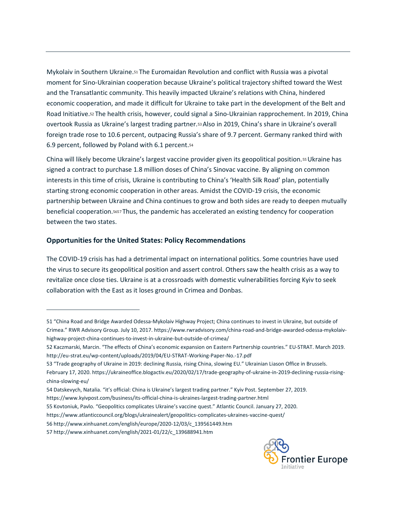Mykolaiv in Southern Ukraine.<sup>51</sup> The Euromaidan Revolution and conflict with Russia was a pivotal moment for Sino-Ukrainian cooperation because Ukraine's political trajectory shifted toward the West and the Transatlantic community. This heavily impacted Ukraine's relations with China, hindered economic cooperation, and made it difficult for Ukraine to take part in the development of the Belt and Road Initiative.<sup>52</sup> The health crisis, however, could signal a Sino-Ukrainian rapprochement. In 2019, China overtook Russia as Ukraine's largest trading partner.53Also in 2019, China's share in Ukraine's overall foreign trade rose to 10.6 percent, outpacing Russia's share of 9.7 percent. Germany ranked third with 6.9 percent, followed by Poland with 6.1 percent.<sup>54</sup>

China will likely become Ukraine's largest vaccine provider given its geopolitical position.55Ukraine has signed a contract to purchase 1.8 million doses of China's Sinovac vaccine. By aligning on common interests in this time of crisis, Ukraine is contributing to China's 'Health Silk Road' plan, potentially starting strong economic cooperation in other areas. Amidst the COVID-19 crisis, the economic partnership between Ukraine and China continues to grow and both sides are ready to deepen mutually beneficial cooperation.<sup>5657</sup> Thus, the pandemic has accelerated an existing tendency for cooperation between the two states.

# **Opportunities for the United States: Policy Recommendations**

The COVID-19 crisis has had a detrimental impact on international politics. Some countries have used the virus to secure its geopolitical position and assert control. Others saw the health crisis as a way to revitalize once close ties. Ukraine is at a crossroads with domestic vulnerabilities forcing Kyiv to seek collaboration with the East as it loses ground in Crimea and Donbas.

[china-slowing-eu/](https://ukraineoffice.blogactiv.eu/2020/02/17/trade-geography-of-ukraine-in-2019-declining-russia-rising-china-slowing-eu/)



<sup>51</sup> "China Road and Bridge Awarded Odessa-Mykolaiv Highway Project; China continues to invest in Ukraine, but outside of Crimea." RWR Advisory Group. July 10, 2017. [https://www.rwradvisory.com/china-road-and-bridge-awarded-odessa-mykolaiv](https://www.rwradvisory.com/china-road-and-bridge-awarded-odessa-mykolaiv-highway-project-china-continues-to-invest-in-ukraine-but-outside-of-crimea/)[highway-project-china-continues-to-invest-in-ukraine-but-outside-of-crimea/](https://www.rwradvisory.com/china-road-and-bridge-awarded-odessa-mykolaiv-highway-project-china-continues-to-invest-in-ukraine-but-outside-of-crimea/)

<sup>52</sup> Kaczmarski, Marcin. "The effects of China's economic expansion on Eastern Partnership countries." EU-STRAT. March 2019. <http://eu-strat.eu/wp-content/uploads/2019/04/EU-STRAT-Working-Paper-No.-17.pdf>

<sup>53</sup> "Trade geography of Ukraine in 2019: declining Russia, rising China, slowing EU." Ukrainian Liason Office in Brussels. February 17, 2020[. https://ukraineoffice.blogactiv.eu/2020/02/17/trade-geography-of-ukraine-in-2019-declining-russia-rising-](https://ukraineoffice.blogactiv.eu/2020/02/17/trade-geography-of-ukraine-in-2019-declining-russia-rising-china-slowing-eu/)

<sup>54</sup> Datskevych, Natalia. "it's official: China is Ukraine's largest trading partner." Kyiv Post. September 27, 2019.

<https://www.kyivpost.com/business/its-official-china-is-ukraines-largest-trading-partner.html>

<sup>55</sup> Kovtoniuk, Pavlo. "Geopolitics complicates Ukraine's vaccine quest." Atlantic Council. January 27, 2020.

<https://www.atlanticcouncil.org/blogs/ukrainealert/geopolitics-complicates-ukraines-vaccine-quest/>

<sup>56</sup> [http://www.xinhuanet.com/english/europe/2020-12/03/c\\_139561449.htm](http://www.xinhuanet.com/english/europe/2020-12/03/c_139561449.htm)

<sup>57</sup> [http://www.xinhuanet.com/english/2021-01/22/c\\_139688941.htm](http://www.xinhuanet.com/english/2021-01/22/c_139688941.htm)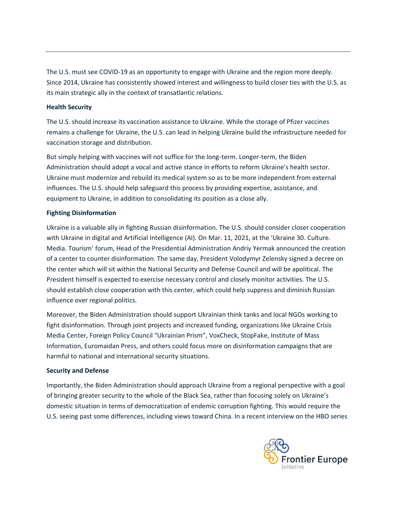The U.S. must see COVID-19 as an opportunity to engage with Ukraine and the region more deeply. Since 2014, Ukraine has consistently showed interest and willingness to build closer ties with the U.S. as its main strategic ally in the context of transatlantic relations.

#### **Health Security**

The U.S. should increase its vaccination assistance to Ukraine. While the storage of Pfizer vaccines remains a challenge for Ukraine, the U.S. can lead in helping Ukraine build the infrastructure needed for vaccination storage and distribution.

But simply helping with vaccines will not suffice for the long-term. Longer-term, the Biden Administration should adopt a vocal and active stance in efforts to reform Ukraine's health sector. Ukraine must modernize and rebuild its medical system so as to be more independent from external influences. The U.S. should help safeguard this process by providing expertise, assistance, and equipment to Ukraine, in addition to consolidating its position as a close ally.

## **Fighting Disinformation**

Ukraine is a valuable ally in fighting Russian disinformation. The U.S. should consider closer cooperation with Ukraine in digital and Artificial Intelligence (AI). On Mar. 11, 2021, at the 'Ukraine 30. Culture. Media. Tourism' forum, Head of the Presidential Administration Andriy Yermak announced the creation of a center to counter disinformation. The same day, President Volodymyr Zelensky signed a decree on the center which will sit within the National Security and Defense Council and will be apolitical. The President himself is expected to exercise necessary control and closely monitor activities. The U.S. should establish close cooperation with this center, which could help suppress and diminish Russian influence over regional politics.

Moreover, the Biden Administration should support Ukrainian think tanks and local NGOs working to fight disinformation. Through joint projects and increased funding, organizations like Ukraine Crisis Media Center, Foreign Policy Council "Ukrainian Prism", VoxCheck, StopFake, Institute of Mass Information, Euromaidan Press, and others could focus more on disinformation campaigns that are harmful to national and international security situations.

#### **Security and Defense**

Importantly, the Biden Administration should approach Ukraine from a regional perspective with a goal of bringing greater security to the whole of the Black Sea, rather than focusing solely on Ukraine's domestic situation in terms of democratization of endemic corruption fighting. This would require the U.S. seeing past some differences, including views toward China. In a recent interview on the HBO series

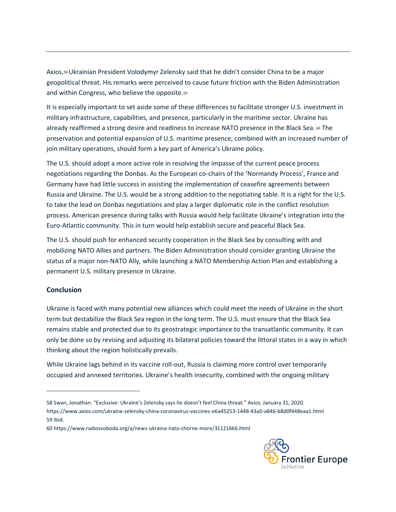Axios,58Ukrainian President Volodymyr Zelensky said that he didn't consider China to be a major geopolitical threat. His remarks were perceived to cause future friction with the Biden Administration and within Congress, who believe the opposite.<sup>59</sup>

It is especially important to set aside some of these differences to facilitate stronger U.S. investment in military infrastructure, capabilities, and presence, particularly in the maritime sector. Ukraine has already reaffirmed a strong desire and readiness to increase NATO presence in the Black Sea. 60 The preservation and potential expansion of U.S. maritime presence, combined with an increased number of join military operations, should form a key part of America's Ukraine policy.

The U.S. should adopt a more active role in resolving the impasse of the current peace process negotiations regarding the Donbas. As the European co-chairs of the 'Normandy Process', France and Germany have had little success in assisting the implementation of ceasefire agreements between Russia and Ukraine. The U.S. would be a strong addition to the negotiating table. It is a right for the U.S. to take the lead on Donbas negotiations and play a larger diplomatic role in the conflict resolution process. American presence during talks with Russia would help facilitate Ukraine's integration into the Euro-Atlantic community. This in turn would help establish secure and peaceful Black Sea.

The U.S. should push for enhanced security cooperation in the Black Sea by consulting with and mobilizing NATO Allies and partners. The Biden Administration should consider granting Ukraine the status of a major non-NATO Ally, while launching a NATO Membership Action Plan and establishing a permanent U.S. military presence in Ukraine.

## **Conclusion**

Ukraine is faced with many potential new alliances which could meet the needs of Ukraine in the short term but destabilize the Black Sea region in the long term. The U.S. must ensure that the Black Sea remains stable and protected due to its geostrategic importance to the transatlantic community. It can only be done so by revising and adjusting its bilateral policies toward the littoral states in a way in which thinking about the region holistically prevails.

While Ukraine lags behind in its vaccine roll-out, Russia is claiming more control over temporarily occupied and annexed territories. Ukraine's health insecurity, combined with the ongoing military

<sup>60</sup> https://www.radiosvoboda.org/a/news-ukraina-nato-chorne-more/31121666.html



<sup>58</sup> Swan, Jonathan. "Exclusive: Ukraine's Zelensky says he doesn't feel China threat." Axios. January 31, 2020. <https://www.axios.com/ukraine-zelensky-china-coronavirus-vaccines-e6a45253-1448-43a0-a846-b8d0f448eaa1.html> 59 Ibid.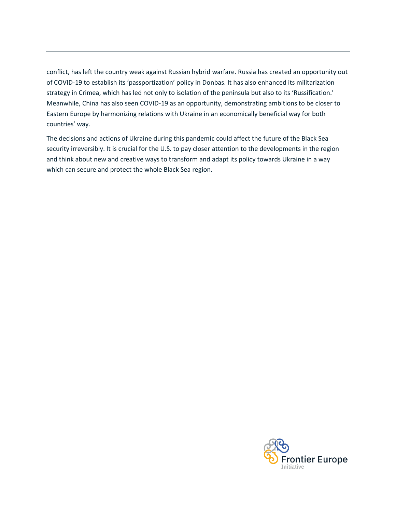conflict, has left the country weak against Russian hybrid warfare. Russia has created an opportunity out of COVID-19 to establish its 'passportization' policy in Donbas. It has also enhanced its militarization strategy in Crimea, which has led not only to isolation of the peninsula but also to its 'Russification.' Meanwhile, China has also seen COVID-19 as an opportunity, demonstrating ambitions to be closer to Eastern Europe by harmonizing relations with Ukraine in an economically beneficial way for both countries' way.

The decisions and actions of Ukraine during this pandemic could affect the future of the Black Sea security irreversibly. It is crucial for the U.S. to pay closer attention to the developments in the region and think about new and creative ways to transform and adapt its policy towards Ukraine in a way which can secure and protect the whole Black Sea region.